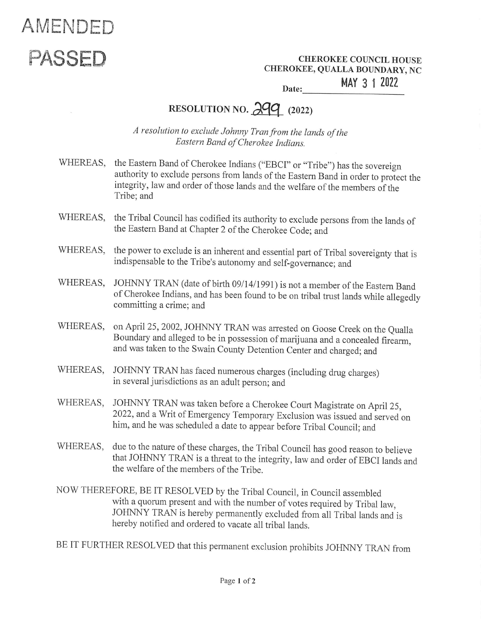## AMENDED

PASSED CHEROKEE COUNCIL HOUSE CHEROKEE, QUALLA BOUNDARY, NC EREROKEE<br>EE, QUALLA<br>MA

Date: **MAY 3 1 2022** 

## RESOLUTION NO.  $299$  (2022)

A resolution to exclude Johnny Tran from the lands of the Eastern Band of Cherokee Indians.

- WHEREAS, the Eastern Band of Cherokee Indians ("EBCI" or "Tribe") has the sovereign authority to exclude persons from lands of the Eastern Band in order to protect the integrity, law and order of those lands and the welfar
- WHEREAS, the Tribal Council has codified its authority to exclude persons from the lands of the Eastern Band at Chapter 2 of the Cherokee Code; and
- WHEREAS, the power to exclude is an inherent and essential part of Tribal sovereignty that is indispensable to the Tribe's autonomy and self-governance; and
- WHEREAS, JOHNNY TRAN (date of birth 09/14/1991) is not a member of the Eastern Band<br>of Cherokee Indians, and has been found to be on tribal trust lands while allegedly<br>committing a crime; and
- WHEREAS, on April 25, 2002, JOHNNY TRAN was arrested on Goose Creek on the Qualla<br>Boundary and alleged to be in possession of marijuana and a concealed firearm,<br>and was taken to the Swain County Detention Center and charge
- WHEREAS, JOHNNY TRAN has faced numerous charges (including drug charges) in several jurisdictions as an adult person; and
- WHEREAS, JOHNNY TRAN was taken before a Cherokee Court Magistrate on April 25, 2022, and a Writ of Emergency Temporary Exclusion was issued and served on him, and he was scheduled a date to appear before Tribal Council; and
- WHEREAS, due to the nature of these charges, the Tribal Council has good reason to believe that JOHNNY TRAN is a threat to the integrity, law and order of EBCI lands and the welfare of the members of the Tribe.
- NOW THEREFORE, BE IT RESOLVED by the Tribal Council, in Council assembled<br>with a quorum present and with the number of votes required by Tribal law,<br>JOHNNY TRAN is hereby permanently excluded from all Tribal lands and is<br>h

BE IT FURTHER RESOLVED that this permanent exclusion prohibits JOHNNY TRAN from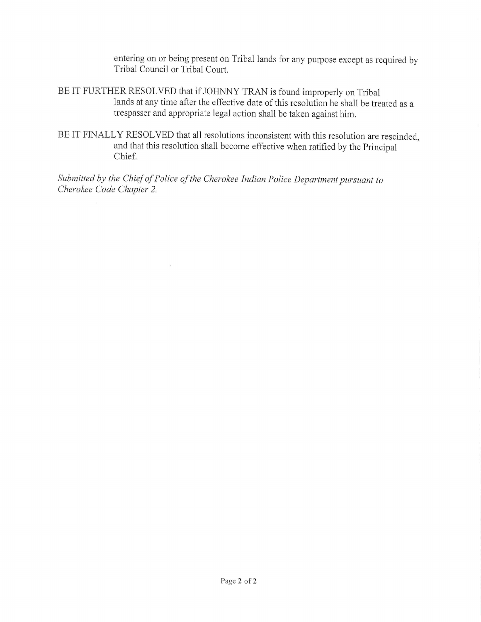entering on or being present on Tribal lands for any purpose except as required by Tribal Council or Tribal Court.

- BEIT FURTHER RESOLVED that if JOHNNY TRAN is found improperly on Tribal lands at any time after the effective date of this resolution he shall be treated as a trespasser and appropriate legal action shall be taken against him.
- BE IT FINALLY RESOLVED that all resolutions inconsistent with this resolution are rescinded, and that this resolution shall become effective when ratified by the Principal Chief.

Submitted by the Chief of Police of the Cherokee Indian Police Department pursuant to Cherokee Code Chapter 2.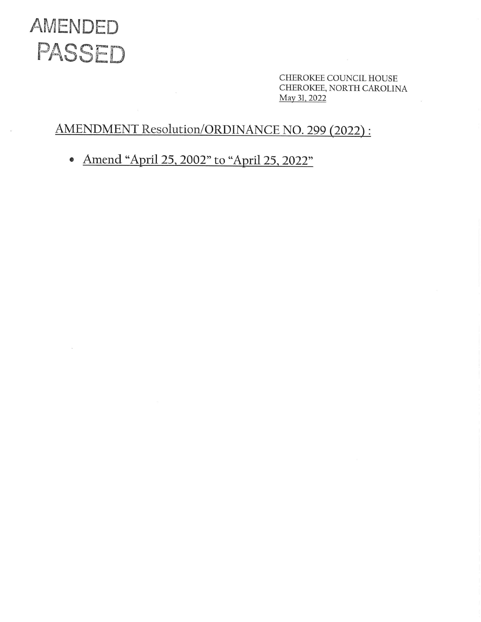

CHEROKEE COUNCIL HOUSE CHEROKEE, NORTH CAROLINA May 31, 2022

## AMENDMENT Resolution/ORDINANCE NO. 299 (2022) :

e Amend "April 25, 2002" to "April 25, 2022"